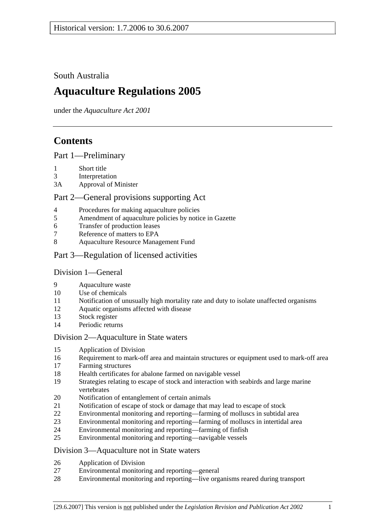South Australia

# **Aquaculture Regulations 2005**

under the *Aquaculture Act 2001*

# **Contents**

Part 1—Preliminary

- 1 Short title
- 3 Interpretation
- 3A Approval of Minister

## Part 2—General provisions supporting Act

- 4 Procedures for making aquaculture policies
- 5 Amendment of aquaculture policies by notice in Gazette
- 6 Transfer of production leases
- 7 Reference of matters to EPA
- 8 Aquaculture Resource Management Fund
- Part 3—Regulation of licensed activities

### Division 1—General

- 9 Aquaculture waste
- 10 Use of chemicals
- 11 Notification of unusually high mortality rate and duty to isolate unaffected organisms
- 12 Aquatic organisms affected with disease
- 13 Stock register
- 14 Periodic returns

### Division 2—Aquaculture in State waters

- 15 Application of Division
- 16 Requirement to mark-off area and maintain structures or equipment used to mark-off area
- 17 Farming structures
- 18 Health certificates for abalone farmed on navigable vessel
- 19 Strategies relating to escape of stock and interaction with seabirds and large marine vertebrates
- 20 Notification of entanglement of certain animals
- 21 Notification of escape of stock or damage that may lead to escape of stock
- 22 Environmental monitoring and reporting—farming of molluscs in subtidal area
- 23 Environmental monitoring and reporting—farming of molluscs in intertidal area
- 24 Environmental monitoring and reporting—farming of finfish
- 25 Environmental monitoring and reporting—navigable vessels

### Division 3—Aquaculture not in State waters

- 26 Application of Division
- 27 Environmental monitoring and reporting—general
- 28 Environmental monitoring and reporting—live organisms reared during transport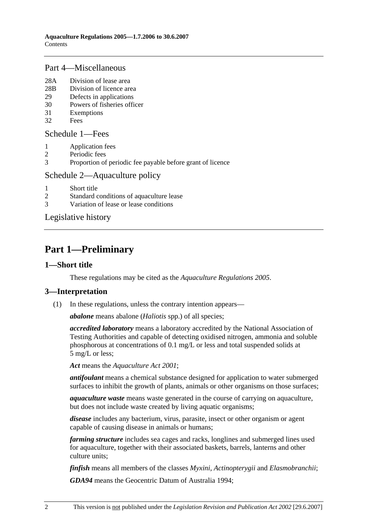#### Part 4—Miscellaneous

- 28A Division of lease area
- 28B Division of licence area
- 29 Defects in applications
- 30 Powers of fisheries officer
- 31 Exemptions
- 32 Fees

#### Schedule 1—Fees

- 1 Application fees
- 2 Periodic fees
- 3 Proportion of periodic fee payable before grant of licence

#### Schedule 2—Aquaculture policy

- 1 Short title
- 2 Standard conditions of aquaculture lease
- 3 Variation of lease or lease conditions

Legislative history

# **Part 1—Preliminary**

#### **1—Short title**

These regulations may be cited as the *Aquaculture Regulations 2005*.

### **3—Interpretation**

(1) In these regulations, unless the contrary intention appears—

*abalone* means abalone (*Haliotis* spp.) of all species;

*accredited laboratory* means a laboratory accredited by the National Association of Testing Authorities and capable of detecting oxidised nitrogen, ammonia and soluble phosphorous at concentrations of 0.1 mg/L or less and total suspended solids at 5 mg/L or less;

*Act* means the *Aquaculture Act 2001*;

*antifoulant* means a chemical substance designed for application to water submerged surfaces to inhibit the growth of plants, animals or other organisms on those surfaces;

*aquaculture waste* means waste generated in the course of carrying on aquaculture, but does not include waste created by living aquatic organisms;

*disease* includes any bacterium, virus, parasite, insect or other organism or agent capable of causing disease in animals or humans;

*farming structure* includes sea cages and racks, longlines and submerged lines used for aquaculture, together with their associated baskets, barrels, lanterns and other culture units;

*finfish* means all members of the classes *Myxini*, *Actinopterygii* and *Elasmobranchii*;

*GDA94* means the Geocentric Datum of Australia 1994;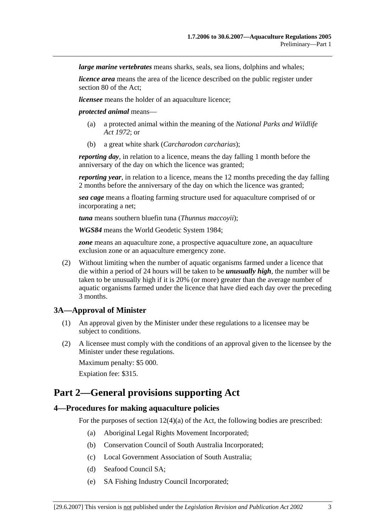*large marine vertebrates* means sharks, seals, sea lions, dolphins and whales;

*licence area* means the area of the licence described on the public register under section 80 of the Act;

*licensee* means the holder of an aquaculture licence;

*protected animal* means—

- (a) a protected animal within the meaning of the *National Parks and Wildlife Act 1972*; or
- (b) a great white shark (*Carcharodon carcharias*);

*reporting day*, in relation to a licence, means the day falling 1 month before the anniversary of the day on which the licence was granted;

*reporting year*, in relation to a licence, means the 12 months preceding the day falling 2 months before the anniversary of the day on which the licence was granted;

*sea cage* means a floating farming structure used for aquaculture comprised of or incorporating a net;

*tuna* means southern bluefin tuna (*Thunnus maccoyii*);

*WGS84* means the World Geodetic System 1984;

*zone* means an aquaculture zone, a prospective aquaculture zone, an aquaculture exclusion zone or an aquaculture emergency zone.

 (2) Without limiting when the number of aquatic organisms farmed under a licence that die within a period of 24 hours will be taken to be *unusually high*, the number will be taken to be unusually high if it is 20% (or more) greater than the average number of aquatic organisms farmed under the licence that have died each day over the preceding 3 months.

#### **3A—Approval of Minister**

- (1) An approval given by the Minister under these regulations to a licensee may be subject to conditions.
- (2) A licensee must comply with the conditions of an approval given to the licensee by the Minister under these regulations. Maximum penalty: \$5 000.

Expiation fee: \$315.

# **Part 2—General provisions supporting Act**

#### **4—Procedures for making aquaculture policies**

For the purposes of section  $12(4)(a)$  of the Act, the following bodies are prescribed:

- (a) Aboriginal Legal Rights Movement Incorporated;
- (b) Conservation Council of South Australia Incorporated;
- (c) Local Government Association of South Australia;
- (d) Seafood Council SA;
- (e) SA Fishing Industry Council Incorporated;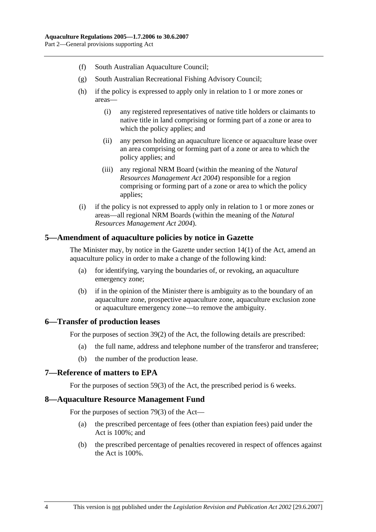- (f) South Australian Aquaculture Council;
- (g) South Australian Recreational Fishing Advisory Council;
- (h) if the policy is expressed to apply only in relation to 1 or more zones or areas—
	- (i) any registered representatives of native title holders or claimants to native title in land comprising or forming part of a zone or area to which the policy applies; and
	- (ii) any person holding an aquaculture licence or aquaculture lease over an area comprising or forming part of a zone or area to which the policy applies; and
	- (iii) any regional NRM Board (within the meaning of the *Natural Resources Management Act 2004*) responsible for a region comprising or forming part of a zone or area to which the policy applies;
- (i) if the policy is not expressed to apply only in relation to 1 or more zones or areas—all regional NRM Boards (within the meaning of the *Natural Resources Management Act 2004*).

### **5—Amendment of aquaculture policies by notice in Gazette**

The Minister may, by notice in the Gazette under section 14(1) of the Act, amend an aquaculture policy in order to make a change of the following kind:

- (a) for identifying, varying the boundaries of, or revoking, an aquaculture emergency zone;
- (b) if in the opinion of the Minister there is ambiguity as to the boundary of an aquaculture zone, prospective aquaculture zone, aquaculture exclusion zone or aquaculture emergency zone—to remove the ambiguity.

#### **6—Transfer of production leases**

For the purposes of section 39(2) of the Act, the following details are prescribed:

- (a) the full name, address and telephone number of the transferor and transferee;
- (b) the number of the production lease.

### **7—Reference of matters to EPA**

For the purposes of section 59(3) of the Act, the prescribed period is 6 weeks.

#### **8—Aquaculture Resource Management Fund**

For the purposes of section 79(3) of the Act—

- (a) the prescribed percentage of fees (other than expiation fees) paid under the Act is 100%; and
- (b) the prescribed percentage of penalties recovered in respect of offences against the Act is 100%.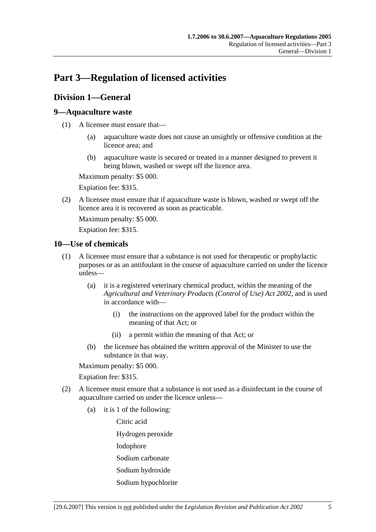# **Part 3—Regulation of licensed activities**

## **Division 1—General**

### **9—Aquaculture waste**

- (1) A licensee must ensure that—
	- (a) aquaculture waste does not cause an unsightly or offensive condition at the licence area; and
	- (b) aquaculture waste is secured or treated in a manner designed to prevent it being blown, washed or swept off the licence area.

Maximum penalty: \$5 000.

Expiation fee: \$315.

 (2) A licensee must ensure that if aquaculture waste is blown, washed or swept off the licence area it is recovered as soon as practicable.

Maximum penalty: \$5 000.

Expiation fee: \$315.

### **10—Use of chemicals**

- (1) A licensee must ensure that a substance is not used for therapeutic or prophylactic purposes or as an antifoulant in the course of aquaculture carried on under the licence unless—
	- (a) it is a registered veterinary chemical product, within the meaning of the *Agricultural and Veterinary Products (Control of Use) Act 2002*, and is used in accordance with—
		- (i) the instructions on the approved label for the product within the meaning of that Act; or
		- (ii) a permit within the meaning of that Act; or
	- (b) the licensee has obtained the written approval of the Minister to use the substance in that way.

Maximum penalty: \$5 000.

Expiation fee: \$315.

- (2) A licensee must ensure that a substance is not used as a disinfectant in the course of aquaculture carried on under the licence unless—
	- (a) it is 1 of the following:

Citric acid

Hydrogen peroxide

Iodophore

- Sodium carbonate
- Sodium hydroxide
- Sodium hypochlorite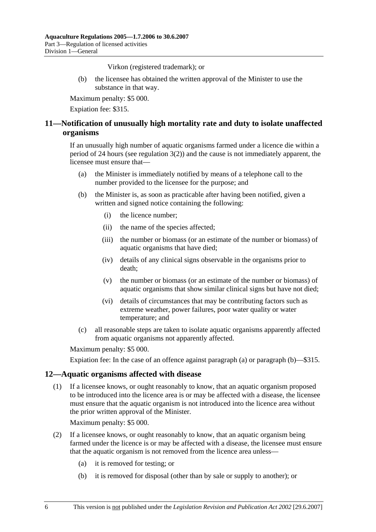Virkon (registered trademark); or

 (b) the licensee has obtained the written approval of the Minister to use the substance in that way.

Maximum penalty: \$5 000.

Expiation fee: \$315.

## **11—Notification of unusually high mortality rate and duty to isolate unaffected organisms**

If an unusually high number of aquatic organisms farmed under a licence die within a period of 24 hours (see regulation 3(2)) and the cause is not immediately apparent, the licensee must ensure that—

- (a) the Minister is immediately notified by means of a telephone call to the number provided to the licensee for the purpose; and
- (b) the Minister is, as soon as practicable after having been notified, given a written and signed notice containing the following:
	- (i) the licence number;
	- (ii) the name of the species affected;
	- (iii) the number or biomass (or an estimate of the number or biomass) of aquatic organisms that have died;
	- (iv) details of any clinical signs observable in the organisms prior to death;
	- (v) the number or biomass (or an estimate of the number or biomass) of aquatic organisms that show similar clinical signs but have not died;
	- (vi) details of circumstances that may be contributing factors such as extreme weather, power failures, poor water quality or water temperature; and
- (c) all reasonable steps are taken to isolate aquatic organisms apparently affected from aquatic organisms not apparently affected.

Maximum penalty: \$5 000.

Expiation fee: In the case of an offence against paragraph (a) or paragraph (b)—\$315.

#### **12—Aquatic organisms affected with disease**

 (1) If a licensee knows, or ought reasonably to know, that an aquatic organism proposed to be introduced into the licence area is or may be affected with a disease, the licensee must ensure that the aquatic organism is not introduced into the licence area without the prior written approval of the Minister.

Maximum penalty: \$5 000.

- (2) If a licensee knows, or ought reasonably to know, that an aquatic organism being farmed under the licence is or may be affected with a disease, the licensee must ensure that the aquatic organism is not removed from the licence area unless—
	- (a) it is removed for testing; or
	- (b) it is removed for disposal (other than by sale or supply to another); or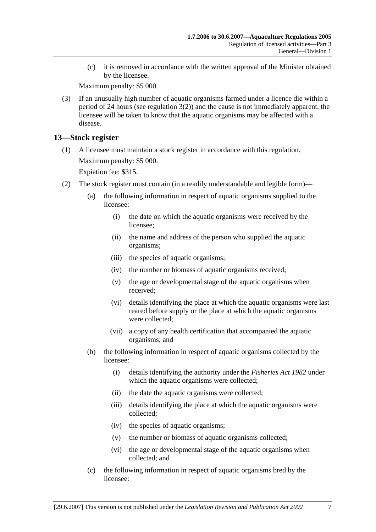(c) it is removed in accordance with the written approval of the Minister obtained by the licensee.

Maximum penalty: \$5 000.

 (3) If an unusually high number of aquatic organisms farmed under a licence die within a period of 24 hours (see regulation 3(2)) and the cause is not immediately apparent, the licensee will be taken to know that the aquatic organisms may be affected with a disease.

## **13—Stock register**

 (1) A licensee must maintain a stock register in accordance with this regulation. Maximum penalty: \$5 000.

Expiation fee: \$315.

- (2) The stock register must contain (in a readily understandable and legible form)—
	- (a) the following information in respect of aquatic organisms supplied to the licensee:
		- (i) the date on which the aquatic organisms were received by the licensee;
		- (ii) the name and address of the person who supplied the aquatic organisms;
		- (iii) the species of aquatic organisms;
		- (iv) the number or biomass of aquatic organisms received;
		- (v) the age or developmental stage of the aquatic organisms when received;
		- (vi) details identifying the place at which the aquatic organisms were last reared before supply or the place at which the aquatic organisms were collected;
		- (vii) a copy of any health certification that accompanied the aquatic organisms; and
	- (b) the following information in respect of aquatic organisms collected by the licensee:
		- (i) details identifying the authority under the *Fisheries Act 1982* under which the aquatic organisms were collected;
		- (ii) the date the aquatic organisms were collected;
		- (iii) details identifying the place at which the aquatic organisms were collected;
		- (iv) the species of aquatic organisms;
		- (v) the number or biomass of aquatic organisms collected;
		- (vi) the age or developmental stage of the aquatic organisms when collected; and
	- (c) the following information in respect of aquatic organisms bred by the licensee: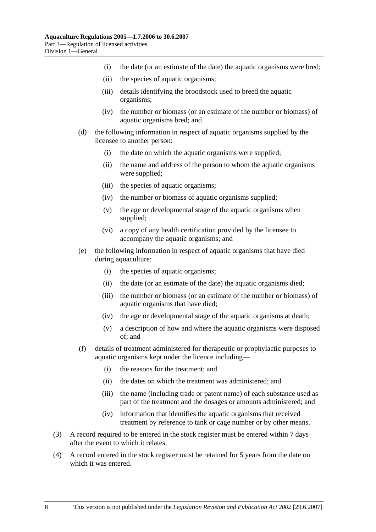- (i) the date (or an estimate of the date) the aquatic organisms were bred;
- (ii) the species of aquatic organisms;
- (iii) details identifying the broodstock used to breed the aquatic organisms;
- (iv) the number or biomass (or an estimate of the number or biomass) of aquatic organisms bred; and
- (d) the following information in respect of aquatic organisms supplied by the licensee to another person:
	- (i) the date on which the aquatic organisms were supplied;
	- (ii) the name and address of the person to whom the aquatic organisms were supplied;
	- (iii) the species of aquatic organisms;
	- (iv) the number or biomass of aquatic organisms supplied;
	- (v) the age or developmental stage of the aquatic organisms when supplied;
	- (vi) a copy of any health certification provided by the licensee to accompany the aquatic organisms; and
- (e) the following information in respect of aquatic organisms that have died during aquaculture:
	- (i) the species of aquatic organisms;
	- (ii) the date (or an estimate of the date) the aquatic organisms died;
	- (iii) the number or biomass (or an estimate of the number or biomass) of aquatic organisms that have died;
	- (iv) the age or developmental stage of the aquatic organisms at death;
	- (v) a description of how and where the aquatic organisms were disposed of; and
- (f) details of treatment administered for therapeutic or prophylactic purposes to aquatic organisms kept under the licence including—
	- (i) the reasons for the treatment; and
	- (ii) the dates on which the treatment was administered; and
	- (iii) the name (including trade or patent name) of each substance used as part of the treatment and the dosages or amounts administered; and
	- (iv) information that identifies the aquatic organisms that received treatment by reference to tank or cage number or by other means.
- (3) A record required to be entered in the stock register must be entered within 7 days after the event to which it relates.
- (4) A record entered in the stock register must be retained for 5 years from the date on which it was entered.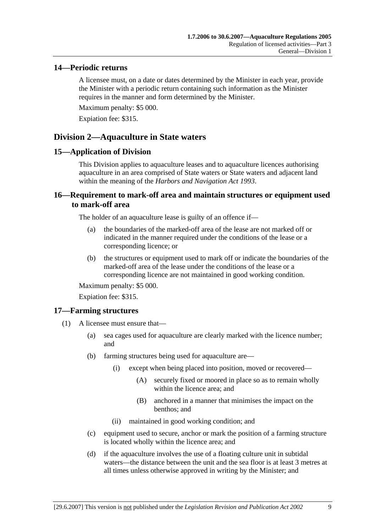### **14—Periodic returns**

A licensee must, on a date or dates determined by the Minister in each year, provide the Minister with a periodic return containing such information as the Minister requires in the manner and form determined by the Minister.

Maximum penalty: \$5 000.

Expiation fee: \$315.

# **Division 2—Aquaculture in State waters**

## **15—Application of Division**

This Division applies to aquaculture leases and to aquaculture licences authorising aquaculture in an area comprised of State waters or State waters and adjacent land within the meaning of the *Harbors and Navigation Act 1993*.

## **16—Requirement to mark-off area and maintain structures or equipment used to mark-off area**

The holder of an aquaculture lease is guilty of an offence if—

- (a) the boundaries of the marked-off area of the lease are not marked off or indicated in the manner required under the conditions of the lease or a corresponding licence; or
- (b) the structures or equipment used to mark off or indicate the boundaries of the marked-off area of the lease under the conditions of the lease or a corresponding licence are not maintained in good working condition.

Maximum penalty: \$5 000.

Expiation fee: \$315.

### **17—Farming structures**

- (1) A licensee must ensure that—
	- (a) sea cages used for aquaculture are clearly marked with the licence number; and
	- (b) farming structures being used for aquaculture are—
		- (i) except when being placed into position, moved or recovered—
			- (A) securely fixed or moored in place so as to remain wholly within the licence area; and
			- (B) anchored in a manner that minimises the impact on the benthos; and
		- (ii) maintained in good working condition; and
	- (c) equipment used to secure, anchor or mark the position of a farming structure is located wholly within the licence area; and
	- (d) if the aquaculture involves the use of a floating culture unit in subtidal waters—the distance between the unit and the sea floor is at least 3 metres at all times unless otherwise approved in writing by the Minister; and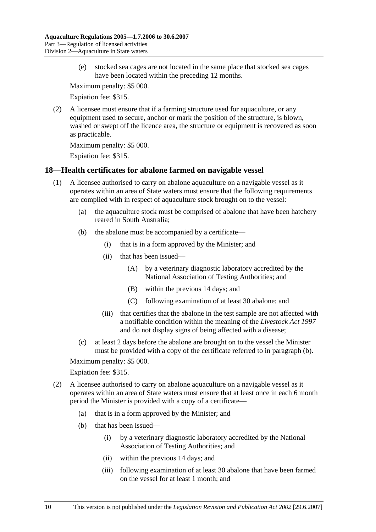(e) stocked sea cages are not located in the same place that stocked sea cages have been located within the preceding 12 months.

Maximum penalty: \$5 000.

Expiation fee: \$315.

 (2) A licensee must ensure that if a farming structure used for aquaculture, or any equipment used to secure, anchor or mark the position of the structure, is blown, washed or swept off the licence area, the structure or equipment is recovered as soon as practicable.

Maximum penalty: \$5 000.

Expiation fee: \$315.

### **18—Health certificates for abalone farmed on navigable vessel**

- (1) A licensee authorised to carry on abalone aquaculture on a navigable vessel as it operates within an area of State waters must ensure that the following requirements are complied with in respect of aquaculture stock brought on to the vessel:
	- (a) the aquaculture stock must be comprised of abalone that have been hatchery reared in South Australia;
	- (b) the abalone must be accompanied by a certificate—
		- (i) that is in a form approved by the Minister; and
		- (ii) that has been issued—
			- (A) by a veterinary diagnostic laboratory accredited by the National Association of Testing Authorities; and
			- (B) within the previous 14 days; and
			- (C) following examination of at least 30 abalone; and
		- (iii) that certifies that the abalone in the test sample are not affected with a notifiable condition within the meaning of the *Livestock Act 1997* and do not display signs of being affected with a disease;
	- (c) at least 2 days before the abalone are brought on to the vessel the Minister must be provided with a copy of the certificate referred to in paragraph (b).

Maximum penalty: \$5 000.

#### Expiation fee: \$315.

- (2) A licensee authorised to carry on abalone aquaculture on a navigable vessel as it operates within an area of State waters must ensure that at least once in each 6 month period the Minister is provided with a copy of a certificate—
	- (a) that is in a form approved by the Minister; and
	- (b) that has been issued—
		- (i) by a veterinary diagnostic laboratory accredited by the National Association of Testing Authorities; and
		- (ii) within the previous 14 days; and
		- (iii) following examination of at least 30 abalone that have been farmed on the vessel for at least 1 month; and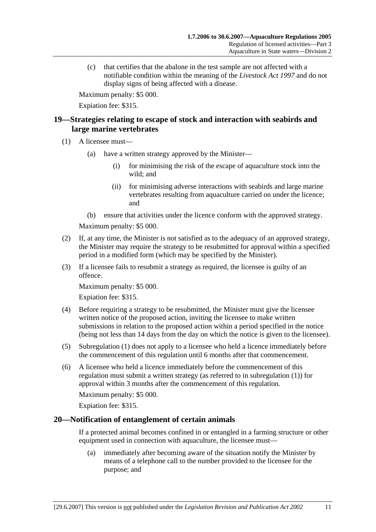(c) that certifies that the abalone in the test sample are not affected with a notifiable condition within the meaning of the *Livestock Act 1997* and do not display signs of being affected with a disease.

Maximum penalty: \$5 000.

Expiation fee: \$315.

## **19—Strategies relating to escape of stock and interaction with seabirds and large marine vertebrates**

- (1) A licensee must—
	- (a) have a written strategy approved by the Minister—
		- (i) for minimising the risk of the escape of aquaculture stock into the wild; and
		- (ii) for minimising adverse interactions with seabirds and large marine vertebrates resulting from aquaculture carried on under the licence; and
	- (b) ensure that activities under the licence conform with the approved strategy.

Maximum penalty: \$5 000.

- (2) If, at any time, the Minister is not satisfied as to the adequacy of an approved strategy, the Minister may require the strategy to be resubmitted for approval within a specified period in a modified form (which may be specified by the Minister).
- (3) If a licensee fails to resubmit a strategy as required, the licensee is guilty of an offence.

Maximum penalty: \$5 000.

Expiation fee: \$315.

- (4) Before requiring a strategy to be resubmitted, the Minister must give the licensee written notice of the proposed action, inviting the licensee to make written submissions in relation to the proposed action within a period specified in the notice (being not less than 14 days from the day on which the notice is given to the licensee).
- (5) Subregulation (1) does not apply to a licensee who held a licence immediately before the commencement of this regulation until 6 months after that commencement.
- (6) A licensee who held a licence immediately before the commencement of this regulation must submit a written strategy (as referred to in subregulation (1)) for approval within 3 months after the commencement of this regulation.

Maximum penalty: \$5 000.

Expiation fee: \$315.

### **20—Notification of entanglement of certain animals**

If a protected animal becomes confined in or entangled in a farming structure or other equipment used in connection with aquaculture, the licensee must—

 (a) immediately after becoming aware of the situation notify the Minister by means of a telephone call to the number provided to the licensee for the purpose; and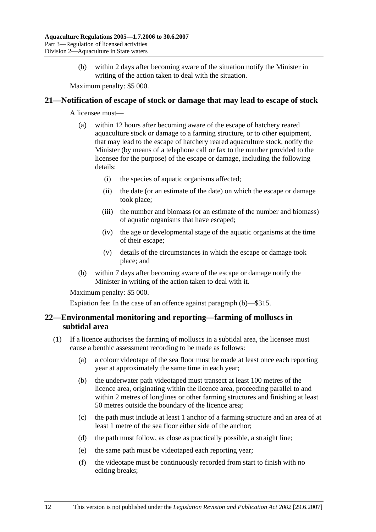(b) within 2 days after becoming aware of the situation notify the Minister in writing of the action taken to deal with the situation.

Maximum penalty: \$5 000.

#### **21—Notification of escape of stock or damage that may lead to escape of stock**

A licensee must—

- (a) within 12 hours after becoming aware of the escape of hatchery reared aquaculture stock or damage to a farming structure, or to other equipment, that may lead to the escape of hatchery reared aquaculture stock, notify the Minister (by means of a telephone call or fax to the number provided to the licensee for the purpose) of the escape or damage, including the following details:
	- (i) the species of aquatic organisms affected;
	- (ii) the date (or an estimate of the date) on which the escape or damage took place;
	- (iii) the number and biomass (or an estimate of the number and biomass) of aquatic organisms that have escaped;
	- (iv) the age or developmental stage of the aquatic organisms at the time of their escape;
	- (v) details of the circumstances in which the escape or damage took place; and
- (b) within 7 days after becoming aware of the escape or damage notify the Minister in writing of the action taken to deal with it.

Maximum penalty: \$5 000.

Expiation fee: In the case of an offence against paragraph (b)—\$315.

### **22—Environmental monitoring and reporting—farming of molluscs in subtidal area**

- (1) If a licence authorises the farming of molluscs in a subtidal area, the licensee must cause a benthic assessment recording to be made as follows:
	- (a) a colour videotape of the sea floor must be made at least once each reporting year at approximately the same time in each year;
	- (b) the underwater path videotaped must transect at least 100 metres of the licence area, originating within the licence area, proceeding parallel to and within 2 metres of longlines or other farming structures and finishing at least 50 metres outside the boundary of the licence area;
	- (c) the path must include at least 1 anchor of a farming structure and an area of at least 1 metre of the sea floor either side of the anchor;
	- (d) the path must follow, as close as practically possible, a straight line;
	- (e) the same path must be videotaped each reporting year;
	- (f) the videotape must be continuously recorded from start to finish with no editing breaks;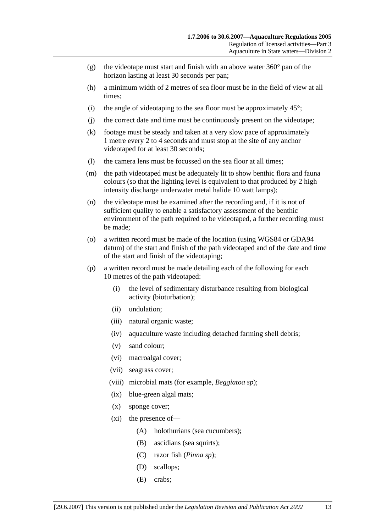- (g) the videotape must start and finish with an above water  $360^{\circ}$  pan of the horizon lasting at least 30 seconds per pan;
- (h) a minimum width of 2 metres of sea floor must be in the field of view at all times;
- (i) the angle of videotaping to the sea floor must be approximately  $45^\circ$ ;
- (j) the correct date and time must be continuously present on the videotape;
- (k) footage must be steady and taken at a very slow pace of approximately 1 metre every 2 to 4 seconds and must stop at the site of any anchor videotaped for at least 30 seconds;
- (l) the camera lens must be focussed on the sea floor at all times;
- (m) the path videotaped must be adequately lit to show benthic flora and fauna colours (so that the lighting level is equivalent to that produced by 2 high intensity discharge underwater metal halide 10 watt lamps);
- (n) the videotape must be examined after the recording and, if it is not of sufficient quality to enable a satisfactory assessment of the benthic environment of the path required to be videotaped, a further recording must be made;
- (o) a written record must be made of the location (using WGS84 or GDA94 datum) of the start and finish of the path videotaped and of the date and time of the start and finish of the videotaping;
- (p) a written record must be made detailing each of the following for each 10 metres of the path videotaped:
	- (i) the level of sedimentary disturbance resulting from biological activity (bioturbation);
	- (ii) undulation;
	- (iii) natural organic waste;
	- (iv) aquaculture waste including detached farming shell debris;
	- (v) sand colour;
	- (vi) macroalgal cover;
	- (vii) seagrass cover;
	- (viii) microbial mats (for example, *Beggiatoa sp*);
	- (ix) blue-green algal mats;
	- (x) sponge cover;
	- (xi) the presence of—
		- (A) holothurians (sea cucumbers);
		- (B) ascidians (sea squirts);
		- (C) razor fish (*Pinna sp*);
		- (D) scallops;
		- (E) crabs;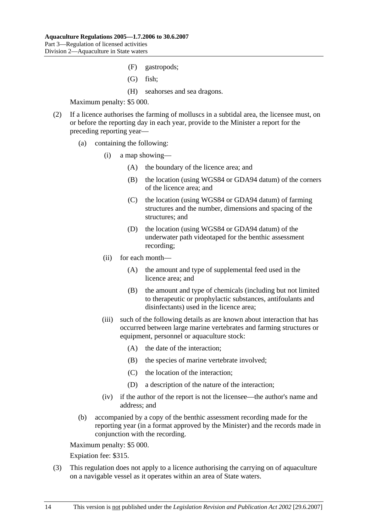- (F) gastropods;
- (G) fish;
- (H) seahorses and sea dragons.

- (2) If a licence authorises the farming of molluscs in a subtidal area, the licensee must, on or before the reporting day in each year, provide to the Minister a report for the preceding reporting year—
	- (a) containing the following:
		- (i) a map showing—
			- (A) the boundary of the licence area; and
			- (B) the location (using WGS84 or GDA94 datum) of the corners of the licence area; and
			- (C) the location (using WGS84 or GDA94 datum) of farming structures and the number, dimensions and spacing of the structures; and
			- (D) the location (using WGS84 or GDA94 datum) of the underwater path videotaped for the benthic assessment recording;
		- (ii) for each month—
			- (A) the amount and type of supplemental feed used in the licence area; and
			- (B) the amount and type of chemicals (including but not limited to therapeutic or prophylactic substances, antifoulants and disinfectants) used in the licence area;
		- (iii) such of the following details as are known about interaction that has occurred between large marine vertebrates and farming structures or equipment, personnel or aquaculture stock:
			- (A) the date of the interaction;
			- (B) the species of marine vertebrate involved;
			- (C) the location of the interaction;
			- (D) a description of the nature of the interaction;
		- (iv) if the author of the report is not the licensee—the author's name and address; and
	- (b) accompanied by a copy of the benthic assessment recording made for the reporting year (in a format approved by the Minister) and the records made in conjunction with the recording.

Maximum penalty: \$5 000.

Expiation fee: \$315.

 (3) This regulation does not apply to a licence authorising the carrying on of aquaculture on a navigable vessel as it operates within an area of State waters.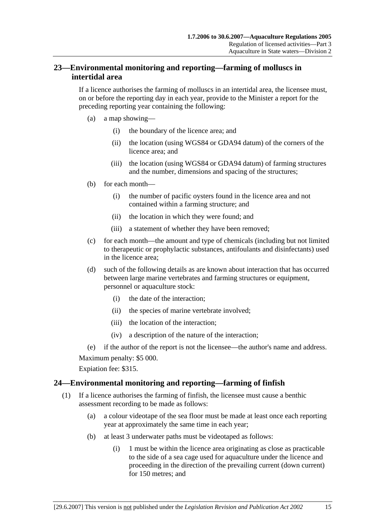## **23—Environmental monitoring and reporting—farming of molluscs in intertidal area**

If a licence authorises the farming of molluscs in an intertidal area, the licensee must, on or before the reporting day in each year, provide to the Minister a report for the preceding reporting year containing the following:

- (a) a map showing—
	- (i) the boundary of the licence area; and
	- (ii) the location (using WGS84 or GDA94 datum) of the corners of the licence area; and
	- (iii) the location (using WGS84 or GDA94 datum) of farming structures and the number, dimensions and spacing of the structures;
- (b) for each month—
	- (i) the number of pacific oysters found in the licence area and not contained within a farming structure; and
	- (ii) the location in which they were found; and
	- (iii) a statement of whether they have been removed;
- (c) for each month—the amount and type of chemicals (including but not limited to therapeutic or prophylactic substances, antifoulants and disinfectants) used in the licence area;
- (d) such of the following details as are known about interaction that has occurred between large marine vertebrates and farming structures or equipment, personnel or aquaculture stock:
	- (i) the date of the interaction;
	- (ii) the species of marine vertebrate involved;
	- (iii) the location of the interaction;
	- (iv) a description of the nature of the interaction;

(e) if the author of the report is not the licensee—the author's name and address.

Maximum penalty: \$5 000.

Expiation fee: \$315.

### **24—Environmental monitoring and reporting—farming of finfish**

- (1) If a licence authorises the farming of finfish, the licensee must cause a benthic assessment recording to be made as follows:
	- (a) a colour videotape of the sea floor must be made at least once each reporting year at approximately the same time in each year;
	- (b) at least 3 underwater paths must be videotaped as follows:
		- (i) 1 must be within the licence area originating as close as practicable to the side of a sea cage used for aquaculture under the licence and proceeding in the direction of the prevailing current (down current) for 150 metres; and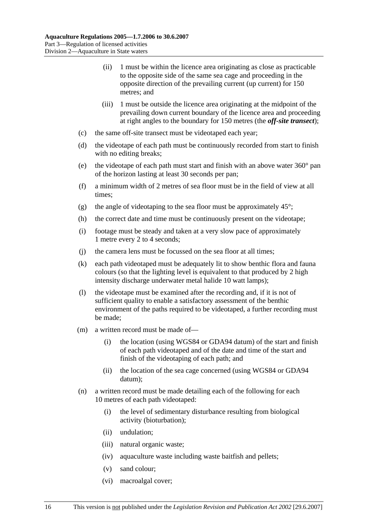- (ii) 1 must be within the licence area originating as close as practicable to the opposite side of the same sea cage and proceeding in the opposite direction of the prevailing current (up current) for 150 metres; and
- (iii) 1 must be outside the licence area originating at the midpoint of the prevailing down current boundary of the licence area and proceeding at right angles to the boundary for 150 metres (the *off-site transect*);
- (c) the same off-site transect must be videotaped each year;
- (d) the videotape of each path must be continuously recorded from start to finish with no editing breaks;
- (e) the videotape of each path must start and finish with an above water 360° pan of the horizon lasting at least 30 seconds per pan;
- (f) a minimum width of 2 metres of sea floor must be in the field of view at all times;
- (g) the angle of videotaping to the sea floor must be approximately  $45^{\circ}$ ;
- (h) the correct date and time must be continuously present on the videotape;
- (i) footage must be steady and taken at a very slow pace of approximately 1 metre every 2 to 4 seconds;
- (j) the camera lens must be focussed on the sea floor at all times;
- (k) each path videotaped must be adequately lit to show benthic flora and fauna colours (so that the lighting level is equivalent to that produced by 2 high intensity discharge underwater metal halide 10 watt lamps);
- (l) the videotape must be examined after the recording and, if it is not of sufficient quality to enable a satisfactory assessment of the benthic environment of the paths required to be videotaped, a further recording must be made;
- (m) a written record must be made of—
	- (i) the location (using WGS84 or GDA94 datum) of the start and finish of each path videotaped and of the date and time of the start and finish of the videotaping of each path; and
	- (ii) the location of the sea cage concerned (using WGS84 or GDA94 datum);
- (n) a written record must be made detailing each of the following for each 10 metres of each path videotaped:
	- (i) the level of sedimentary disturbance resulting from biological activity (bioturbation);
	- (ii) undulation;
	- (iii) natural organic waste;
	- (iv) aquaculture waste including waste baitfish and pellets;
	- (v) sand colour;
	- (vi) macroalgal cover;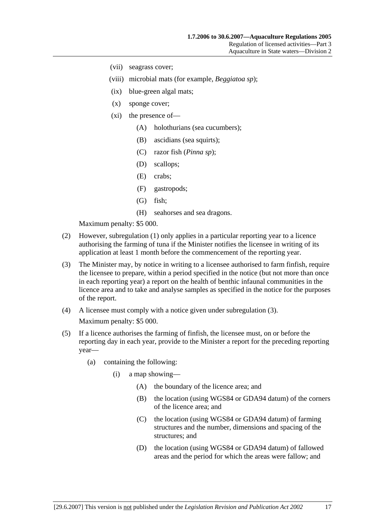- (vii) seagrass cover;
- (viii) microbial mats (for example, *Beggiatoa sp*);
- (ix) blue-green algal mats;
- (x) sponge cover;
- (xi) the presence of—
	- (A) holothurians (sea cucumbers);
	- (B) ascidians (sea squirts);
	- (C) razor fish (*Pinna sp*);
	- (D) scallops;
	- (E) crabs;
	- (F) gastropods;
	- (G) fish;
	- (H) seahorses and sea dragons.

- (2) However, subregulation (1) only applies in a particular reporting year to a licence authorising the farming of tuna if the Minister notifies the licensee in writing of its application at least 1 month before the commencement of the reporting year.
- (3) The Minister may, by notice in writing to a licensee authorised to farm finfish, require the licensee to prepare, within a period specified in the notice (but not more than once in each reporting year) a report on the health of benthic infaunal communities in the licence area and to take and analyse samples as specified in the notice for the purposes of the report.
- (4) A licensee must comply with a notice given under subregulation (3). Maximum penalty: \$5 000.
- (5) If a licence authorises the farming of finfish, the licensee must, on or before the reporting day in each year, provide to the Minister a report for the preceding reporting year—
	- (a) containing the following:
		- (i) a map showing—
			- (A) the boundary of the licence area; and
			- (B) the location (using WGS84 or GDA94 datum) of the corners of the licence area; and
			- (C) the location (using WGS84 or GDA94 datum) of farming structures and the number, dimensions and spacing of the structures; and
			- (D) the location (using WGS84 or GDA94 datum) of fallowed areas and the period for which the areas were fallow; and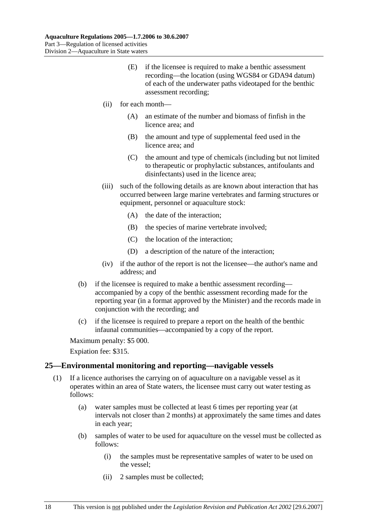- (E) if the licensee is required to make a benthic assessment recording—the location (using WGS84 or GDA94 datum) of each of the underwater paths videotaped for the benthic assessment recording;
- (ii) for each month—
	- (A) an estimate of the number and biomass of finfish in the licence area; and
	- (B) the amount and type of supplemental feed used in the licence area; and
	- (C) the amount and type of chemicals (including but not limited to therapeutic or prophylactic substances, antifoulants and disinfectants) used in the licence area;
- (iii) such of the following details as are known about interaction that has occurred between large marine vertebrates and farming structures or equipment, personnel or aquaculture stock:
	- (A) the date of the interaction;
	- (B) the species of marine vertebrate involved;
	- (C) the location of the interaction;
	- (D) a description of the nature of the interaction;
- (iv) if the author of the report is not the licensee—the author's name and address; and
- (b) if the licensee is required to make a benthic assessment recording accompanied by a copy of the benthic assessment recording made for the reporting year (in a format approved by the Minister) and the records made in conjunction with the recording; and
- (c) if the licensee is required to prepare a report on the health of the benthic infaunal communities—accompanied by a copy of the report.

Expiation fee: \$315.

#### **25—Environmental monitoring and reporting—navigable vessels**

- (1) If a licence authorises the carrying on of aquaculture on a navigable vessel as it operates within an area of State waters, the licensee must carry out water testing as follows:
	- (a) water samples must be collected at least 6 times per reporting year (at intervals not closer than 2 months) at approximately the same times and dates in each year;
	- (b) samples of water to be used for aquaculture on the vessel must be collected as follows:
		- (i) the samples must be representative samples of water to be used on the vessel;
		- (ii) 2 samples must be collected;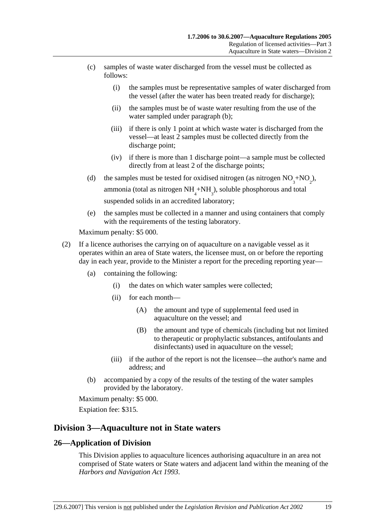- (c) samples of waste water discharged from the vessel must be collected as follows:
	- (i) the samples must be representative samples of water discharged from the vessel (after the water has been treated ready for discharge);
	- (ii) the samples must be of waste water resulting from the use of the water sampled under paragraph (b);
	- (iii) if there is only 1 point at which waste water is discharged from the vessel—at least 2 samples must be collected directly from the discharge point;
	- (iv) if there is more than 1 discharge point—a sample must be collected directly from at least 2 of the discharge points;
- (d) the samples must be tested for oxidised nitrogen (as nitrogen  $NO_3^+ NO_2^{\phantom{1}}$ ), ammonia (total as nitrogen  $NH<sub>4</sub>+NH<sub>3</sub>$ ), soluble phosphorous and total suspended solids in an accredited laboratory;
	- (e) the samples must be collected in a manner and using containers that comply with the requirements of the testing laboratory.

- (2) If a licence authorises the carrying on of aquaculture on a navigable vessel as it operates within an area of State waters, the licensee must, on or before the reporting day in each year, provide to the Minister a report for the preceding reporting year—
	- (a) containing the following:
		- (i) the dates on which water samples were collected;
		- (ii) for each month—
			- (A) the amount and type of supplemental feed used in aquaculture on the vessel; and
			- (B) the amount and type of chemicals (including but not limited to therapeutic or prophylactic substances, antifoulants and disinfectants) used in aquaculture on the vessel;
		- (iii) if the author of the report is not the licensee—the author's name and address; and
	- (b) accompanied by a copy of the results of the testing of the water samples provided by the laboratory.

Maximum penalty: \$5 000.

Expiation fee: \$315.

## **Division 3—Aquaculture not in State waters**

### **26—Application of Division**

This Division applies to aquaculture licences authorising aquaculture in an area not comprised of State waters or State waters and adjacent land within the meaning of the *Harbors and Navigation Act 1993*.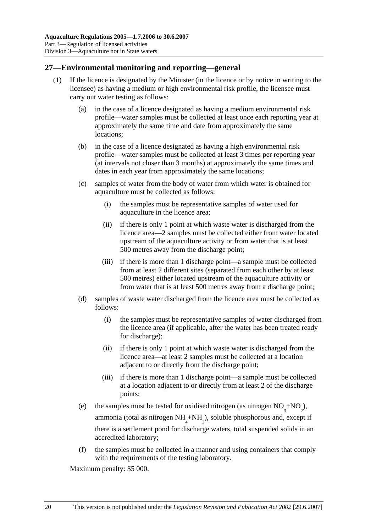## **27—Environmental monitoring and reporting—general**

- (1) If the licence is designated by the Minister (in the licence or by notice in writing to the licensee) as having a medium or high environmental risk profile, the licensee must carry out water testing as follows:
	- (a) in the case of a licence designated as having a medium environmental risk profile—water samples must be collected at least once each reporting year at approximately the same time and date from approximately the same locations;
	- (b) in the case of a licence designated as having a high environmental risk profile—water samples must be collected at least 3 times per reporting year (at intervals not closer than 3 months) at approximately the same times and dates in each year from approximately the same locations;
	- (c) samples of water from the body of water from which water is obtained for aquaculture must be collected as follows:
		- (i) the samples must be representative samples of water used for aquaculture in the licence area;
		- (ii) if there is only 1 point at which waste water is discharged from the licence area—2 samples must be collected either from water located upstream of the aquaculture activity or from water that is at least 500 metres away from the discharge point;
		- (iii) if there is more than 1 discharge point—a sample must be collected from at least 2 different sites (separated from each other by at least 500 metres) either located upstream of the aquaculture activity or from water that is at least 500 metres away from a discharge point;
	- (d) samples of waste water discharged from the licence area must be collected as follows:
		- (i) the samples must be representative samples of water discharged from the licence area (if applicable, after the water has been treated ready for discharge);
		- (ii) if there is only 1 point at which waste water is discharged from the licence area—at least 2 samples must be collected at a location adjacent to or directly from the discharge point;
		- (iii) if there is more than 1 discharge point—a sample must be collected at a location adjacent to or directly from at least 2 of the discharge points;
	- (e) the samples must be tested for oxidised nitrogen (as nitrogen  $NO_3^+ NO_2^{\phantom{1}}$ ), ammonia (total as nitrogen  $NH_4^+NH_3^$ ), soluble phosphorous and, except if there is a settlement pond for discharge waters, total suspended solids in an accredited laboratory;
		- (f) the samples must be collected in a manner and using containers that comply with the requirements of the testing laboratory.

Maximum penalty: \$5 000.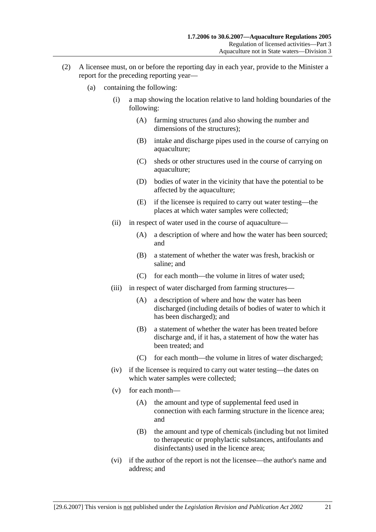- (2) A licensee must, on or before the reporting day in each year, provide to the Minister a report for the preceding reporting year—
	- (a) containing the following:
		- (i) a map showing the location relative to land holding boundaries of the following:
			- (A) farming structures (and also showing the number and dimensions of the structures);
			- (B) intake and discharge pipes used in the course of carrying on aquaculture;
			- (C) sheds or other structures used in the course of carrying on aquaculture;
			- (D) bodies of water in the vicinity that have the potential to be affected by the aquaculture;
			- (E) if the licensee is required to carry out water testing—the places at which water samples were collected;
		- (ii) in respect of water used in the course of aquaculture—
			- (A) a description of where and how the water has been sourced; and
			- (B) a statement of whether the water was fresh, brackish or saline; and
			- (C) for each month—the volume in litres of water used;
		- (iii) in respect of water discharged from farming structures—
			- (A) a description of where and how the water has been discharged (including details of bodies of water to which it has been discharged); and
			- (B) a statement of whether the water has been treated before discharge and, if it has, a statement of how the water has been treated; and
			- (C) for each month—the volume in litres of water discharged;
		- (iv) if the licensee is required to carry out water testing—the dates on which water samples were collected;
		- (v) for each month—
			- (A) the amount and type of supplemental feed used in connection with each farming structure in the licence area; and
			- (B) the amount and type of chemicals (including but not limited to therapeutic or prophylactic substances, antifoulants and disinfectants) used in the licence area;
		- (vi) if the author of the report is not the licensee—the author's name and address; and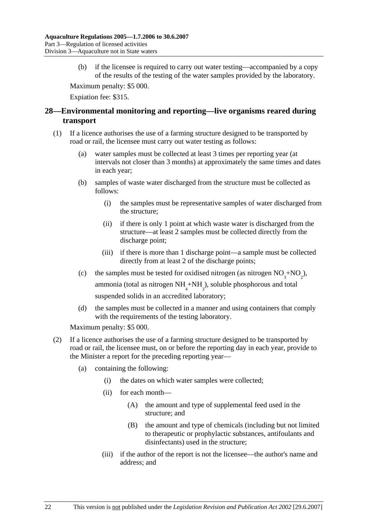(b) if the licensee is required to carry out water testing—accompanied by a copy of the results of the testing of the water samples provided by the laboratory.

Maximum penalty: \$5 000.

Expiation fee: \$315.

## **28—Environmental monitoring and reporting—live organisms reared during transport**

- (1) If a licence authorises the use of a farming structure designed to be transported by road or rail, the licensee must carry out water testing as follows:
	- (a) water samples must be collected at least 3 times per reporting year (at intervals not closer than 3 months) at approximately the same times and dates in each year;
	- (b) samples of waste water discharged from the structure must be collected as follows:
		- (i) the samples must be representative samples of water discharged from the structure;
		- (ii) if there is only 1 point at which waste water is discharged from the structure—at least 2 samples must be collected directly from the discharge point;
		- (iii) if there is more than 1 discharge point—a sample must be collected directly from at least 2 of the discharge points;
	- (c) the samples must be tested for oxidised nitrogen (as nitrogen  $NO_3^+ NO_2^{\phantom{1}}$ ),

ammonia (total as nitrogen  $NH<sub>4</sub>+NH<sub>3</sub>$ ), soluble phosphorous and total suspended solids in an accredited laboratory;

 (d) the samples must be collected in a manner and using containers that comply with the requirements of the testing laboratory.

Maximum penalty: \$5 000.

- (2) If a licence authorises the use of a farming structure designed to be transported by road or rail, the licensee must, on or before the reporting day in each year, provide to the Minister a report for the preceding reporting year—
	- (a) containing the following:
		- (i) the dates on which water samples were collected;
		- (ii) for each month—
			- (A) the amount and type of supplemental feed used in the structure; and
			- (B) the amount and type of chemicals (including but not limited to therapeutic or prophylactic substances, antifoulants and disinfectants) used in the structure;
		- (iii) if the author of the report is not the licensee—the author's name and address; and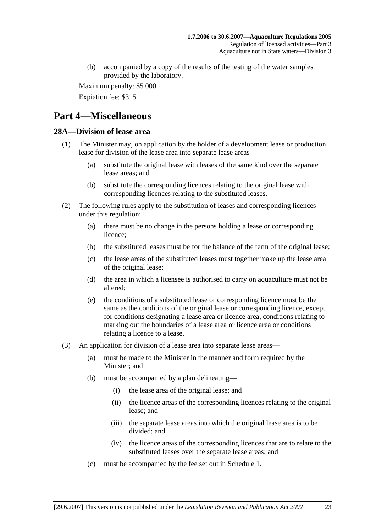(b) accompanied by a copy of the results of the testing of the water samples provided by the laboratory.

Maximum penalty: \$5 000.

Expiation fee: \$315.

# **Part 4—Miscellaneous**

#### **28A—Division of lease area**

- (1) The Minister may, on application by the holder of a development lease or production lease for division of the lease area into separate lease areas—
	- (a) substitute the original lease with leases of the same kind over the separate lease areas; and
	- (b) substitute the corresponding licences relating to the original lease with corresponding licences relating to the substituted leases.
- (2) The following rules apply to the substitution of leases and corresponding licences under this regulation:
	- (a) there must be no change in the persons holding a lease or corresponding licence;
	- (b) the substituted leases must be for the balance of the term of the original lease;
	- (c) the lease areas of the substituted leases must together make up the lease area of the original lease;
	- (d) the area in which a licensee is authorised to carry on aquaculture must not be altered;
	- (e) the conditions of a substituted lease or corresponding licence must be the same as the conditions of the original lease or corresponding licence, except for conditions designating a lease area or licence area, conditions relating to marking out the boundaries of a lease area or licence area or conditions relating a licence to a lease.
- (3) An application for division of a lease area into separate lease areas—
	- (a) must be made to the Minister in the manner and form required by the Minister; and
	- (b) must be accompanied by a plan delineating—
		- (i) the lease area of the original lease; and
		- (ii) the licence areas of the corresponding licences relating to the original lease; and
		- (iii) the separate lease areas into which the original lease area is to be divided; and
		- (iv) the licence areas of the corresponding licences that are to relate to the substituted leases over the separate lease areas; and
	- (c) must be accompanied by the fee set out in Schedule 1.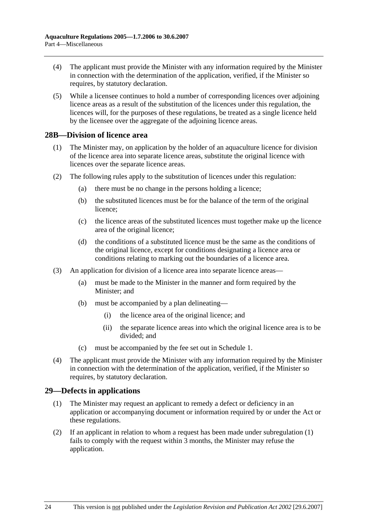- (4) The applicant must provide the Minister with any information required by the Minister in connection with the determination of the application, verified, if the Minister so requires, by statutory declaration.
- (5) While a licensee continues to hold a number of corresponding licences over adjoining licence areas as a result of the substitution of the licences under this regulation, the licences will, for the purposes of these regulations, be treated as a single licence held by the licensee over the aggregate of the adjoining licence areas.

#### **28B—Division of licence area**

- (1) The Minister may, on application by the holder of an aquaculture licence for division of the licence area into separate licence areas, substitute the original licence with licences over the separate licence areas.
- (2) The following rules apply to the substitution of licences under this regulation:
	- (a) there must be no change in the persons holding a licence;
	- (b) the substituted licences must be for the balance of the term of the original licence;
	- (c) the licence areas of the substituted licences must together make up the licence area of the original licence;
	- (d) the conditions of a substituted licence must be the same as the conditions of the original licence, except for conditions designating a licence area or conditions relating to marking out the boundaries of a licence area.
- (3) An application for division of a licence area into separate licence areas—
	- (a) must be made to the Minister in the manner and form required by the Minister; and
	- (b) must be accompanied by a plan delineating—
		- (i) the licence area of the original licence; and
		- (ii) the separate licence areas into which the original licence area is to be divided; and
	- (c) must be accompanied by the fee set out in Schedule 1.
- (4) The applicant must provide the Minister with any information required by the Minister in connection with the determination of the application, verified, if the Minister so requires, by statutory declaration.

### **29—Defects in applications**

- (1) The Minister may request an applicant to remedy a defect or deficiency in an application or accompanying document or information required by or under the Act or these regulations.
- (2) If an applicant in relation to whom a request has been made under subregulation (1) fails to comply with the request within 3 months, the Minister may refuse the application.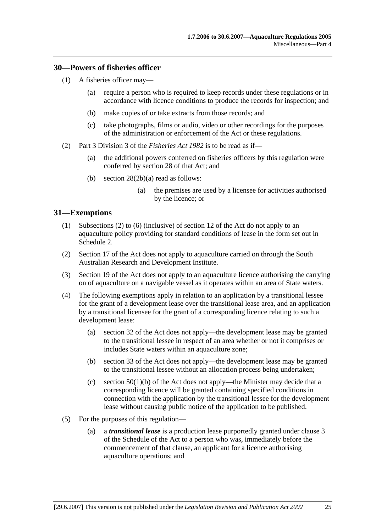#### **30—Powers of fisheries officer**

- (1) A fisheries officer may—
	- (a) require a person who is required to keep records under these regulations or in accordance with licence conditions to produce the records for inspection; and
	- (b) make copies of or take extracts from those records; and
	- (c) take photographs, films or audio, video or other recordings for the purposes of the administration or enforcement of the Act or these regulations.
- (2) Part 3 Division 3 of the *Fisheries Act 1982* is to be read as if—
	- (a) the additional powers conferred on fisheries officers by this regulation were conferred by section 28 of that Act; and
	- (b) section 28(2b)(a) read as follows:
		- (a) the premises are used by a licensee for activities authorised by the licence; or

### **31—Exemptions**

- (1) Subsections (2) to (6) (inclusive) of section 12 of the Act do not apply to an aquaculture policy providing for standard conditions of lease in the form set out in Schedule 2.
- (2) Section 17 of the Act does not apply to aquaculture carried on through the South Australian Research and Development Institute.
- (3) Section 19 of the Act does not apply to an aquaculture licence authorising the carrying on of aquaculture on a navigable vessel as it operates within an area of State waters.
- (4) The following exemptions apply in relation to an application by a transitional lessee for the grant of a development lease over the transitional lease area, and an application by a transitional licensee for the grant of a corresponding licence relating to such a development lease:
	- (a) section 32 of the Act does not apply—the development lease may be granted to the transitional lessee in respect of an area whether or not it comprises or includes State waters within an aquaculture zone;
	- (b) section 33 of the Act does not apply—the development lease may be granted to the transitional lessee without an allocation process being undertaken;
	- (c) section  $50(1)(b)$  of the Act does not apply—the Minister may decide that a corresponding licence will be granted containing specified conditions in connection with the application by the transitional lessee for the development lease without causing public notice of the application to be published.
- (5) For the purposes of this regulation—
	- (a) a *transitional lease* is a production lease purportedly granted under clause 3 of the Schedule of the Act to a person who was, immediately before the commencement of that clause, an applicant for a licence authorising aquaculture operations; and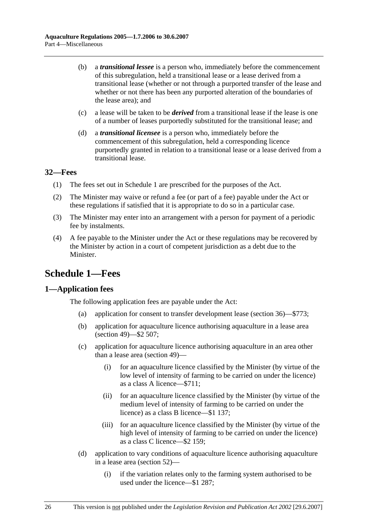- (b) a *transitional lessee* is a person who, immediately before the commencement of this subregulation, held a transitional lease or a lease derived from a transitional lease (whether or not through a purported transfer of the lease and whether or not there has been any purported alteration of the boundaries of the lease area); and
- (c) a lease will be taken to be *derived* from a transitional lease if the lease is one of a number of leases purportedly substituted for the transitional lease; and
- (d) a *transitional licensee* is a person who, immediately before the commencement of this subregulation, held a corresponding licence purportedly granted in relation to a transitional lease or a lease derived from a transitional lease.

### **32—Fees**

- (1) The fees set out in Schedule 1 are prescribed for the purposes of the Act.
- (2) The Minister may waive or refund a fee (or part of a fee) payable under the Act or these regulations if satisfied that it is appropriate to do so in a particular case.
- (3) The Minister may enter into an arrangement with a person for payment of a periodic fee by instalments.
- (4) A fee payable to the Minister under the Act or these regulations may be recovered by the Minister by action in a court of competent jurisdiction as a debt due to the Minister.

# **Schedule 1—Fees**

### **1—Application fees**

The following application fees are payable under the Act:

- (a) application for consent to transfer development lease (section 36)—\$773;
- (b) application for aquaculture licence authorising aquaculture in a lease area (section 49)—\$2 507;
- (c) application for aquaculture licence authorising aquaculture in an area other than a lease area (section 49)—
	- (i) for an aquaculture licence classified by the Minister (by virtue of the low level of intensity of farming to be carried on under the licence) as a class A licence—\$711;
	- (ii) for an aquaculture licence classified by the Minister (by virtue of the medium level of intensity of farming to be carried on under the licence) as a class B licence—\$1 137;
	- (iii) for an aquaculture licence classified by the Minister (by virtue of the high level of intensity of farming to be carried on under the licence) as a class C licence—\$2 159;
- (d) application to vary conditions of aquaculture licence authorising aquaculture in a lease area (section 52)—
	- (i) if the variation relates only to the farming system authorised to be used under the licence—\$1 287;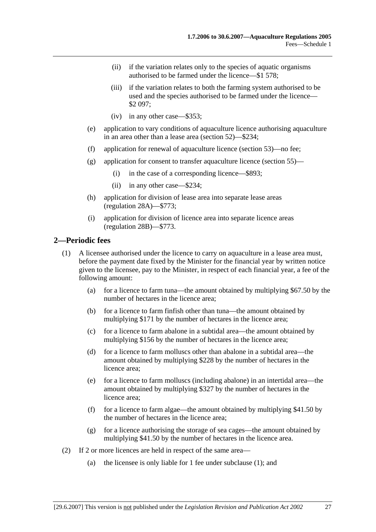- (ii) if the variation relates only to the species of aquatic organisms authorised to be farmed under the licence—\$1 578;
- (iii) if the variation relates to both the farming system authorised to be used and the species authorised to be farmed under the licence— \$2 097;
- (iv) in any other case—\$353;
- (e) application to vary conditions of aquaculture licence authorising aquaculture in an area other than a lease area (section 52)—\$234;
- (f) application for renewal of aquaculture licence (section 53)—no fee;
- (g) application for consent to transfer aquaculture licence (section 55)—
	- (i) in the case of a corresponding licence—\$893;
	- (ii) in any other case—\$234;
- (h) application for division of lease area into separate lease areas (regulation 28A)—\$773;
- (i) application for division of licence area into separate licence areas (regulation 28B)—\$773.

#### **2—Periodic fees**

- (1) A licensee authorised under the licence to carry on aquaculture in a lease area must, before the payment date fixed by the Minister for the financial year by written notice given to the licensee, pay to the Minister, in respect of each financial year, a fee of the following amount:
	- (a) for a licence to farm tuna—the amount obtained by multiplying \$67.50 by the number of hectares in the licence area;
	- (b) for a licence to farm finfish other than tuna—the amount obtained by multiplying \$171 by the number of hectares in the licence area;
	- (c) for a licence to farm abalone in a subtidal area—the amount obtained by multiplying \$156 by the number of hectares in the licence area;
	- (d) for a licence to farm molluscs other than abalone in a subtidal area—the amount obtained by multiplying \$228 by the number of hectares in the licence area;
	- (e) for a licence to farm molluscs (including abalone) in an intertidal area—the amount obtained by multiplying \$327 by the number of hectares in the licence area;
	- (f) for a licence to farm algae—the amount obtained by multiplying \$41.50 by the number of hectares in the licence area;
	- (g) for a licence authorising the storage of sea cages—the amount obtained by multiplying \$41.50 by the number of hectares in the licence area.
- (2) If 2 or more licences are held in respect of the same area—
	- (a) the licensee is only liable for 1 fee under subclause (1); and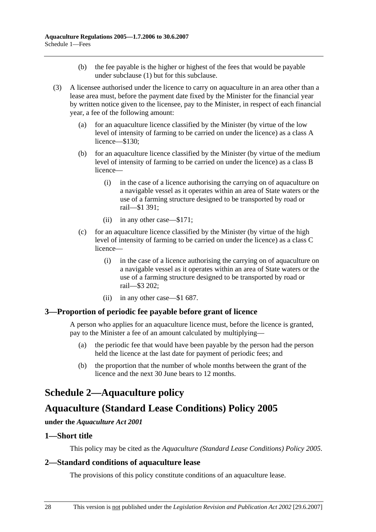- (b) the fee payable is the higher or highest of the fees that would be payable under subclause (1) but for this subclause.
- (3) A licensee authorised under the licence to carry on aquaculture in an area other than a lease area must, before the payment date fixed by the Minister for the financial year by written notice given to the licensee, pay to the Minister, in respect of each financial year, a fee of the following amount:
	- (a) for an aquaculture licence classified by the Minister (by virtue of the low level of intensity of farming to be carried on under the licence) as a class A licence—\$130;
	- (b) for an aquaculture licence classified by the Minister (by virtue of the medium level of intensity of farming to be carried on under the licence) as a class B licence—
		- (i) in the case of a licence authorising the carrying on of aquaculture on a navigable vessel as it operates within an area of State waters or the use of a farming structure designed to be transported by road or rail—\$1 391;
		- (ii) in any other case—\$171;
	- (c) for an aquaculture licence classified by the Minister (by virtue of the high level of intensity of farming to be carried on under the licence) as a class C licence—
		- (i) in the case of a licence authorising the carrying on of aquaculture on a navigable vessel as it operates within an area of State waters or the use of a farming structure designed to be transported by road or rail—\$3 202;
		- (ii) in any other case—\$1 687.

### **3—Proportion of periodic fee payable before grant of licence**

A person who applies for an aquaculture licence must, before the licence is granted, pay to the Minister a fee of an amount calculated by multiplying—

- (a) the periodic fee that would have been payable by the person had the person held the licence at the last date for payment of periodic fees; and
- (b) the proportion that the number of whole months between the grant of the licence and the next 30 June bears to 12 months.

# **Schedule 2—Aquaculture policy**

# **Aquaculture (Standard Lease Conditions) Policy 2005**

#### **under the** *Aquaculture Act 2001*

#### **1—Short title**

This policy may be cited as the *Aquaculture (Standard Lease Conditions) Policy 2005*.

### **2—Standard conditions of aquaculture lease**

The provisions of this policy constitute conditions of an aquaculture lease.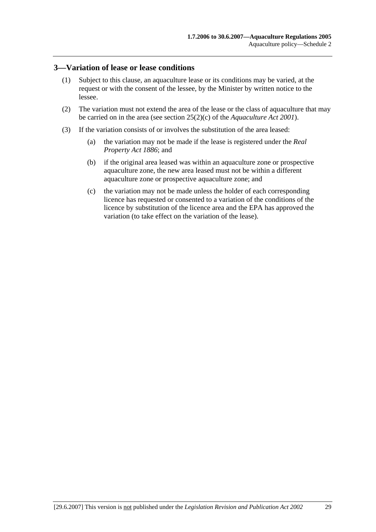#### **3—Variation of lease or lease conditions**

- (1) Subject to this clause, an aquaculture lease or its conditions may be varied, at the request or with the consent of the lessee, by the Minister by written notice to the lessee.
- (2) The variation must not extend the area of the lease or the class of aquaculture that may be carried on in the area (see section 25(2)(c) of the *Aquaculture Act 2001*).
- (3) If the variation consists of or involves the substitution of the area leased:
	- (a) the variation may not be made if the lease is registered under the *Real Property Act 1886*; and
	- (b) if the original area leased was within an aquaculture zone or prospective aquaculture zone, the new area leased must not be within a different aquaculture zone or prospective aquaculture zone; and
	- (c) the variation may not be made unless the holder of each corresponding licence has requested or consented to a variation of the conditions of the licence by substitution of the licence area and the EPA has approved the variation (to take effect on the variation of the lease).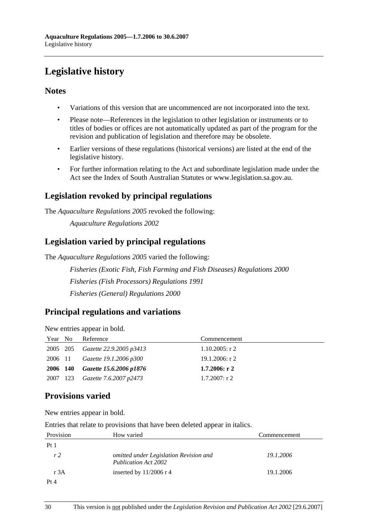# **Legislative history**

## **Notes**

- Variations of this version that are uncommenced are not incorporated into the text.
- Please note—References in the legislation to other legislation or instruments or to titles of bodies or offices are not automatically updated as part of the program for the revision and publication of legislation and therefore may be obsolete.
- Earlier versions of these regulations (historical versions) are listed at the end of the legislative history.
- For further information relating to the Act and subordinate legislation made under the Act see the Index of South Australian Statutes or www.legislation.sa.gov.au.

## **Legislation revoked by principal regulations**

The *Aquaculture Regulations 2005* revoked the following:

*Aquaculture Regulations 2002*

## **Legislation varied by principal regulations**

The *Aquaculture Regulations 2005* varied the following:

*Fisheries (Exotic Fish, Fish Farming and Fish Diseases) Regulations 2000 Fisheries (Fish Processors) Regulations 1991 Fisheries (General) Regulations 2000*

## **Principal regulations and variations**

New entries appear in bold.

| Year No  | Reference                               | Commencement      |
|----------|-----------------------------------------|-------------------|
|          | 2005 205 <i>Gazette</i> 22.9.2005 p3413 | $1.10.2005$ : r 2 |
| 2006 11  | Gazette 19.1.2006 p300                  | 19.1.2006: r 2    |
| 2006 140 | Gazette 15.6.2006 p1876                 | $1.7.2006:$ r 2   |
| 2007 123 | Gazette 7.6.2007 p2473                  | $1.7.2007$ : r 2  |

## **Provisions varied**

New entries appear in bold.

Entries that relate to provisions that have been deleted appear in italics.

| Provision      | How varied                                                            | Commencement |
|----------------|-----------------------------------------------------------------------|--------------|
| Pt1            |                                                                       |              |
| r <sub>2</sub> | omitted under Legislation Revision and<br><b>Publication Act 2002</b> | 19.1.2006    |
| r 3A           | inserted by $11/2006$ r 4                                             | 19.1.2006    |
| Pt 4           |                                                                       |              |